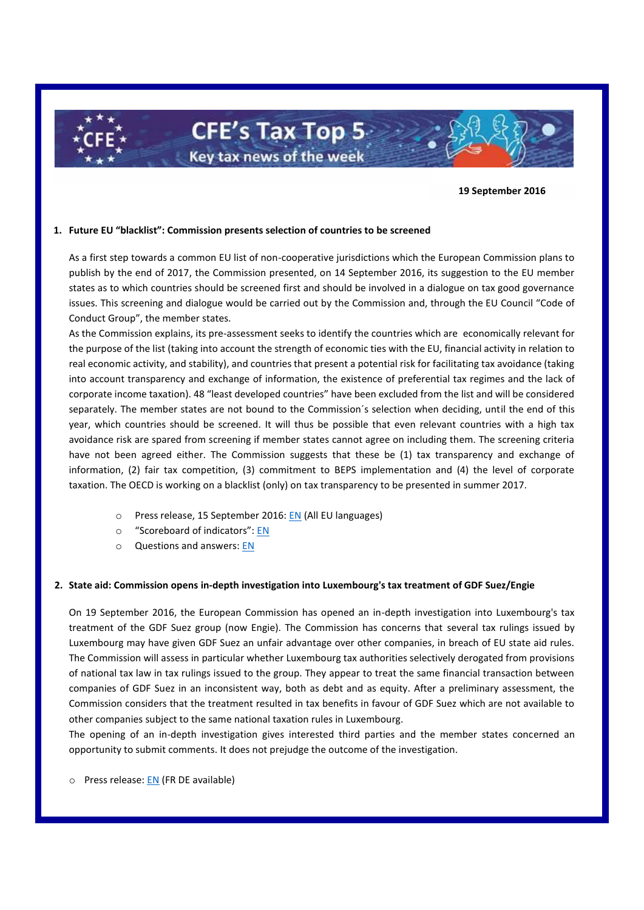**CFE's Tax Top 5-**Key tax news of the week

**19 September 2016**

## **1. Future EU "blacklist": Commission presents selection of countries to be screened**

As a first step towards a common EU list of non-cooperative jurisdictions which the European Commission plans to publish by the end of 2017, the Commission presented, on 14 September 2016, its suggestion to the EU member states as to which countries should be screened first and should be involved in a dialogue on tax good governance issues. This screening and dialogue would be carried out by the Commission and, through the EU Council "Code of Conduct Group", the member states.

As the Commission explains, its pre-assessment seeks to identify the countries which are economically relevant for the purpose of the list (taking into account the strength of economic ties with the EU, financial activity in relation to real economic activity, and stability), and countries that present a potential risk for facilitating tax avoidance (taking into account transparency and exchange of information, the existence of preferential tax regimes and the lack of corporate income taxation). 48 "least developed countries" have been excluded from the list and will be considered separately. The member states are not bound to the Commission´s selection when deciding, until the end of this year, which countries should be screened. It will thus be possible that even relevant countries with a high tax avoidance risk are spared from screening if member states cannot agree on including them. The screening criteria have not been agreed either. The Commission suggests that these be (1) tax transparency and exchange of information, (2) fair tax competition, (3) commitment to BEPS implementation and (4) the level of corporate taxation. The OECD is working on a blacklist (only) on tax transparency to be presented in summer 2017.

- o Press release, 15 September 2016[: EN](http://europa.eu/rapid/press-release_IP-16-2996_en.htm) (All EU languages)
- o "Scoreboard of indicators": [EN](https://ec.europa.eu/taxation_customs/sites/taxation/files/2016-09-15_scoreboard-indicators.pdf)
- o Questions and answers: [EN](http://europa.eu/rapid/press-release_MEMO-16-2997_en.htm)

## **2. State aid: Commission opens in-depth investigation into Luxembourg's tax treatment of GDF Suez/Engie**

On 19 September 2016, the European Commission has opened an in-depth investigation into Luxembourg's tax treatment of the GDF Suez group (now Engie). The Commission has concerns that several tax rulings issued by Luxembourg may have given GDF Suez an unfair advantage over other companies, in breach of EU state aid rules. The Commission will assess in particular whether Luxembourg tax authorities selectively derogated from provisions of national tax law in tax rulings issued to the group. They appear to treat the same financial transaction between companies of GDF Suez in an inconsistent way, both as debt and as equity. After a preliminary assessment, the Commission considers that the treatment resulted in tax benefits in favour of GDF Suez which are not available to other companies subject to the same national taxation rules in Luxembourg.

The opening of an in-depth investigation gives interested third parties and the member states concerned an opportunity to submit comments. It does not prejudge the outcome of the investigation.

o Press release: [EN](http://europa.eu/rapid/press-release_IP-16-3085_en.htm) (FR DE available)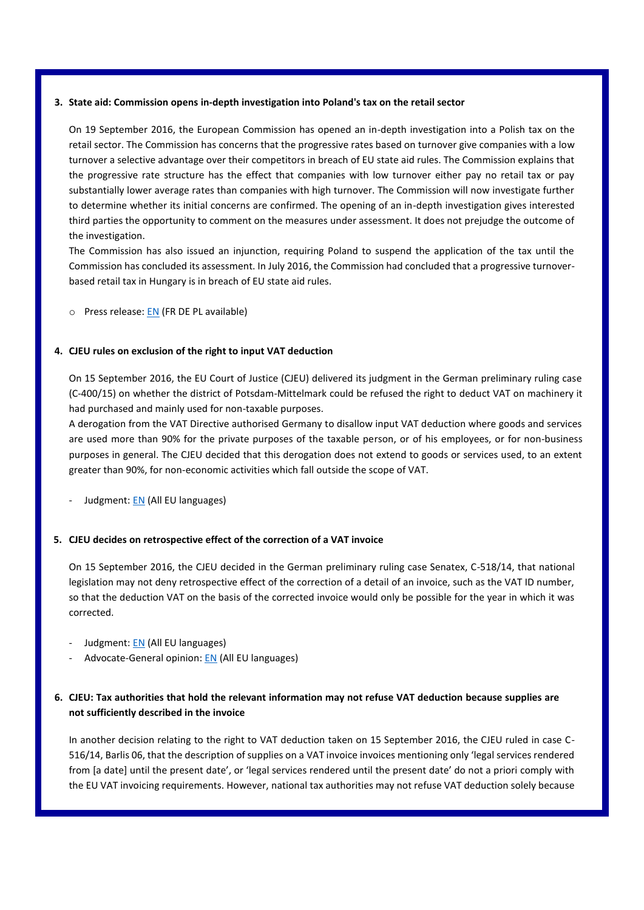### **3. State aid: Commission opens in-depth investigation into Poland's tax on the retail sector**

On 19 September 2016, the European Commission has opened an in-depth investigation into a Polish tax on the retail sector. The Commission has concerns that the progressive rates based on turnover give companies with a low turnover a selective advantage over their competitors in breach of EU state aid rules. The Commission explains that the progressive rate structure has the effect that companies with low turnover either pay no retail tax or pay substantially lower average rates than companies with high turnover. The Commission will now investigate further to determine whether its initial concerns are confirmed. The opening of an in-depth investigation gives interested third parties the opportunity to comment on the measures under assessment. It does not prejudge the outcome of the investigation.

The Commission has also issued an injunction, requiring Poland to suspend the application of the tax until the Commission has concluded its assessment. In July 2016, the Commission had concluded that a progressive turnoverbased retail tax in Hungary is in breach of EU state aid rules.

o Press release: [EN](http://europa.eu/rapid/press-release_IP-16-3104_en.htm) (FR DE PL available)

## **4. CJEU rules on exclusion of the right to input VAT deduction**

On 15 September 2016, the EU Court of Justice (CJEU) delivered its judgment in the German preliminary ruling case (C-400/15) on whether the district of Potsdam-Mittelmark could be refused the right to deduct VAT on machinery it had purchased and mainly used for non-taxable purposes.

A derogation from the VAT Directive authorised Germany to disallow input VAT deduction where goods and services are used more than 90% for the private purposes of the taxable person, or of his employees, or for non-business purposes in general. The CJEU decided that this derogation does not extend to goods or services used, to an extent greater than 90%, for non-economic activities which fall outside the scope of VAT.

- Judgment: [EN](http://curia.europa.eu/juris/document/document.jsf?text=&docid=183367&pageIndex=0&doclang=EN&mode=lst&dir=&occ=first&part=1&cid=247883) (All EU languages)

#### **5. CJEU decides on retrospective effect of the correction of a VAT invoice**

On 15 September 2016, the CJEU decided in the German preliminary ruling case Senatex, C-518/14, that national legislation may not deny retrospective effect of the correction of a detail of an invoice, such as the VAT ID number, so that the deduction VAT on the basis of the corrected invoice would only be possible for the year in which it was corrected.

- Judgment: [EN](http://curia.europa.eu/juris/document/document.jsf?text=&docid=183365&pageIndex=0&doclang=en&mode=lst&dir=&occ=first&part=1&cid=247883) (All EU languages)
- Advocate-General opinion[: EN](http://curia.europa.eu/juris/document/document.jsf?text=&docid=174422&pageIndex=0&doclang=en&mode=lst&dir=&occ=first&part=1&cid=247883) (All EU languages)

# **6. CJEU: Tax authorities that hold the relevant information may not refuse VAT deduction because supplies are not sufficiently described in the invoice**

In another decision relating to the right to VAT deduction taken on 15 September 2016, the CJEU ruled in case C-516/14, Barlis 06, that the description of supplies on a VAT invoice invoices mentioning only 'legal services rendered from [a date] until the present date', or 'legal services rendered until the present date' do not a priori comply with the EU VAT invoicing requirements. However, national tax authorities may not refuse VAT deduction solely because